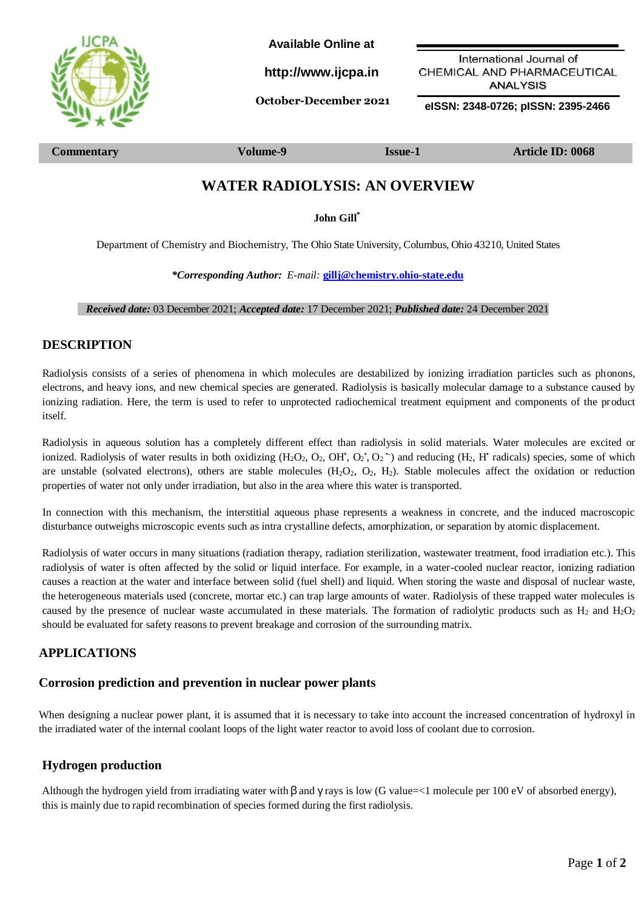

**Available Online at**

**[http://www.ijcpa.in](http://www.ijcpa.in/)**

International Journal of CHEMICAL AND PHARMACEUTICAL **ANALYSIS** 

**October-December <sup>2021</sup> eISSN: 2348-0726; pISSN: 2395-2466**

**Commentary Volume-9 Issue-1 Article ID: 0068**

# **WATER RADIOLYSIS: AN OVERVIEW**

**John Gill\***

Department of Chemistry and Biochemistry, The Ohio State University, Columbus, Ohio 43210, United States

*\*Corresponding Author: E-mail:* **[gillj@chemistry.ohio-state.edu](mailto:gillj@chemistry.ohio-state.edu)**

 *Received date:* 03 December 2021; *Accepted date:* 17 December 2021; *Published date:* 24 December 2021

## **DESCRIPTION**

Radiolysis consists of a series of phenomena in which molecules are destabilized by ionizing irradiation particles such as phonons, electrons, and heavy ions, and new chemical species are generated. Radiolysis is basically molecular damage to a substance caused by ionizing radiation. Here, the term is used to refer to unprotected radiochemical treatment equipment and components of the product itself.

Radiolysis in aqueous solution has a completely different effect than radiolysis in solid materials. Water molecules are excited or ionized. Radiolysis of water results in both oxidizing  $(H_2O_2, O_2, OH, O_2, O_2)$  and reducing  $(H_2, H'$  radicals) species, some of which are unstable (solvated electrons), others are stable molecules  $(H_2O_2, O_2, H_2)$ . Stable molecules affect the oxidation or reduction properties of water not only under irradiation, but also in the area where this water is transported.

In connection with this mechanism, the interstitial aqueous phase represents a weakness in concrete, and the induced macroscopic disturbance outweighs microscopic events such as intra crystalline defects, amorphization, or separation by atomic displacement.

Radiolysis of water occurs in many situations (radiation therapy, radiation sterilization, wastewater treatment, food irradiation etc.). This radiolysis of water is often affected by the solid or liquid interface. For example, in a water-cooled nuclear reactor, ionizing radiation causes a reaction at the water and interface between solid (fuel shell) and liquid. When storing the waste and disposal of nuclear waste, the heterogeneous materials used (concrete, mortar etc.) can trap large amounts of water. Radiolysis of these trapped water molecules is caused by the presence of nuclear waste accumulated in these materials. The formation of radiolytic products such as  $H_2$  and  $H_2O_2$ should be evaluated for safety reasons to prevent breakage and corrosion of the surrounding matrix.

# **APPLICATIONS**

#### **Corrosion prediction and prevention in nuclear power plants**

When designing a nuclear power plant, it is assumed that it is necessary to take into account the increased concentration of hydroxyl in the irradiated water of the internal coolant loops of the light water reactor to avoid loss of coolant due to corrosion.

## **Hydrogen production**

this is mainly due to rapid recombination of species formed during the first radiolysis. Although the hydrogen yield from irradiating water with  $\beta$  and  $\gamma$  rays is low (G value=<1 molecule per 100 eV of absorbed energy),